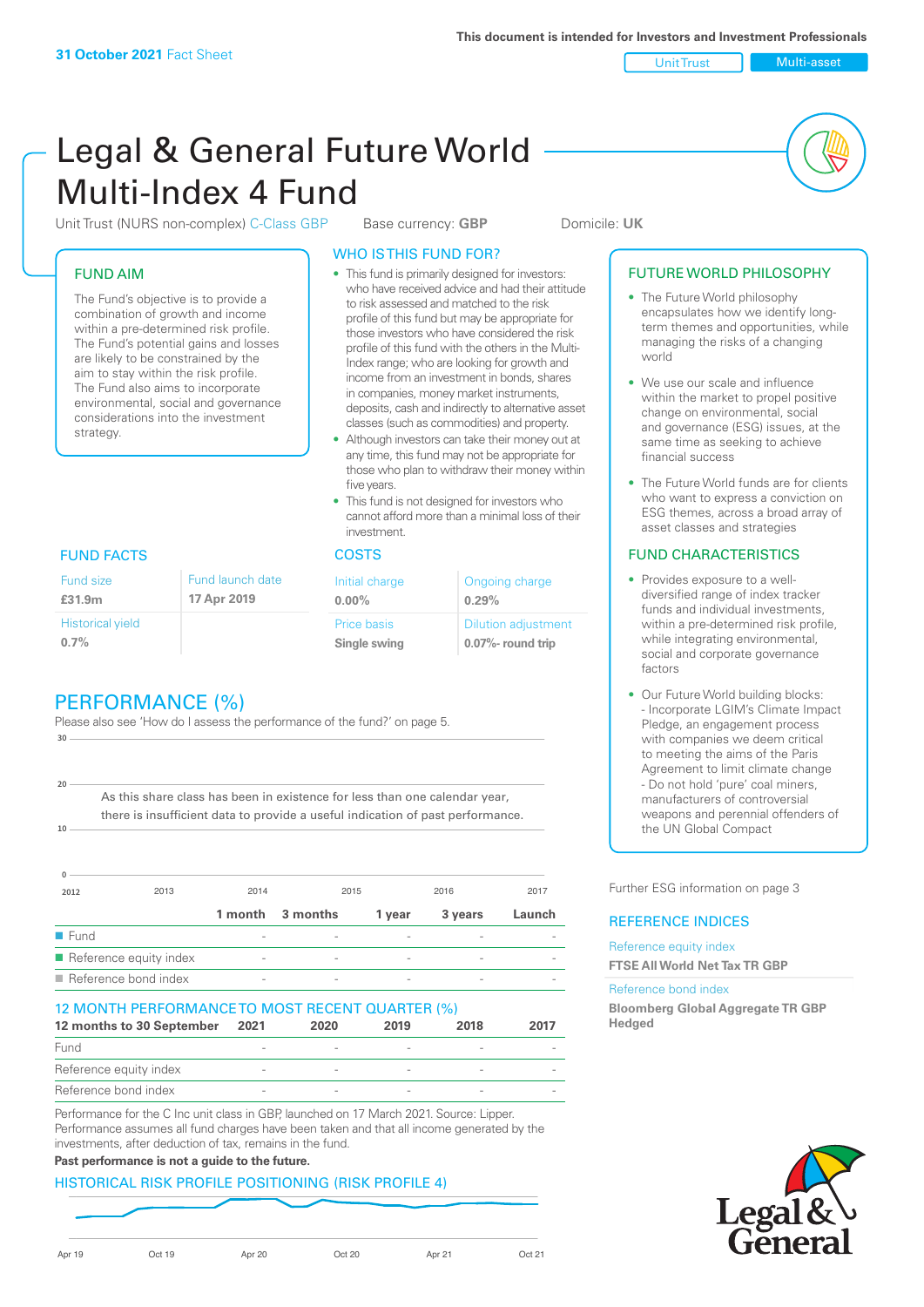world

factors

FUTURE WORLD PHILOSOPHY • The Future World philosophy encapsulates how we identify longterm themes and opportunities, while managing the risks of a changing

• We use our scale and influence within the market to propel positive change on environmental, social and governance (ESG) issues, at the same time as seeking to achieve

• The Future World funds are for clients who want to express a conviction on ESG themes, across a broad array of asset classes and strategies FUND CHARACTERISTICS • Provides exposure to a welldiversified range of index tracker funds and individual investments, within a pre-determined risk profile while integrating environmental, social and corporate governance

• Our Future World building blocks: - Incorporate LGIM's Climate Impact Pledge, an engagement process with companies we deem critical to meeting the aims of the Paris Agreement to limit climate change - Do not hold 'pure' coal miners, manufacturers of controversial weapons and perennial offenders of

the UN Global Compact

Further ESG information on page 3

**Bloomberg Global Aggregate TR GBP** 

REFERENCE INDICES Reference equity index **FTSE All World Net Tax TR GBP**

Reference bond index

**Hedged**

financial success

Unit Trust Multi-asset

# Legal & General Future World Multi-Index 4 Fund

Unit Trust (NURS non-complex) C-Class GBP Base currency: **GBP** Domicile: UK

### FUND AIM

The Fund's objective is to provide a combination of growth and income within a pre-determined risk profile. The Fund's potential gains and losses are likely to be constrained by the aim to stay within the risk profile. The Fund also aims to incorporate environmental, social and governance considerations into the investment strategy.

> Fund launch date **17**

### WHO IS THIS FUND FOR?

- This fund is primarily designed for investors: who have received advice and had their attitude to risk assessed and matched to the risk profile of this fund but may be appropriate for those investors who have considered the risk profile of this fund with the others in the Multi-Index range; who are looking for growth and income from an investment in bonds, shares in companies, money market instruments, deposits, cash and indirectly to alternative asset classes (such as commodities) and property.
- Although investors can take their money out at any time, this fund may not be appropriate for those who plan to withdraw their money within five years.
- This fund is not designed for investors who cannot afford more than a minimal loss of their investment.

| nd launch date | Initial charge              | Ongoing charge                                  |  |
|----------------|-----------------------------|-------------------------------------------------|--|
| Apr 2019       | $0.00\%$                    | 0.29%                                           |  |
|                | Price basis<br>Single swing | <b>Dilution adjustment</b><br>0.07%- round trip |  |

### FUND FACTS COSTS

Historical yield **0.7%**

Fund size **£31.9m**

**10**

**20**

|  | PERFORMANCE (%) |  |
|--|-----------------|--|

Please also see 'How do I assess the performance of the fund?' on page 5. **30**

As this share class has been in existence for less than one calendar year, there is insufficient data to provide a useful indication of past performance.

| $\Omega$                            |                        |                          |          |                 |                          |        |
|-------------------------------------|------------------------|--------------------------|----------|-----------------|--------------------------|--------|
| 2012                                | 2013                   | 2014                     |          | 2015            | 2016                     | 2017   |
|                                     |                        | 1 month                  | 3 months | 1 year          | 3 years                  | Launch |
| $\blacksquare$ Fund                 |                        | $\sim$                   |          | $\qquad \qquad$ |                          |        |
|                                     | Reference equity index | $\qquad \qquad$          |          | $\qquad \qquad$ | $\overline{\phantom{a}}$ |        |
| $\blacksquare$ Reference bond index |                        | $\overline{\phantom{a}}$ |          |                 |                          |        |

### 12 MONTH PERFORMANCE TO MOST RECENT QUARTER (%)

| 12 months to 30 September | 2021           | 2020 | 2019 | 2018   | 2017 |
|---------------------------|----------------|------|------|--------|------|
| Fund                      |                |      |      |        |      |
| Reference equity index    |                |      |      |        |      |
| Reference bond index      | $\overline{a}$ |      |      | $\sim$ |      |

Performance for the C Inc unit class in GBP, launched on 17 March 2021. Source: Lipper. Performance assumes all fund charges have been taken and that all income generated by the investments, after deduction of tax, remains in the fund.

### **Past performance is not a guide to the future.**

#### HISTORICAL RISK PROFILE POSITIONING (RISK PROFILE 4)

Apr 19 Oct 19 Apr 20 Oct 20 Apr 21 Oct 21

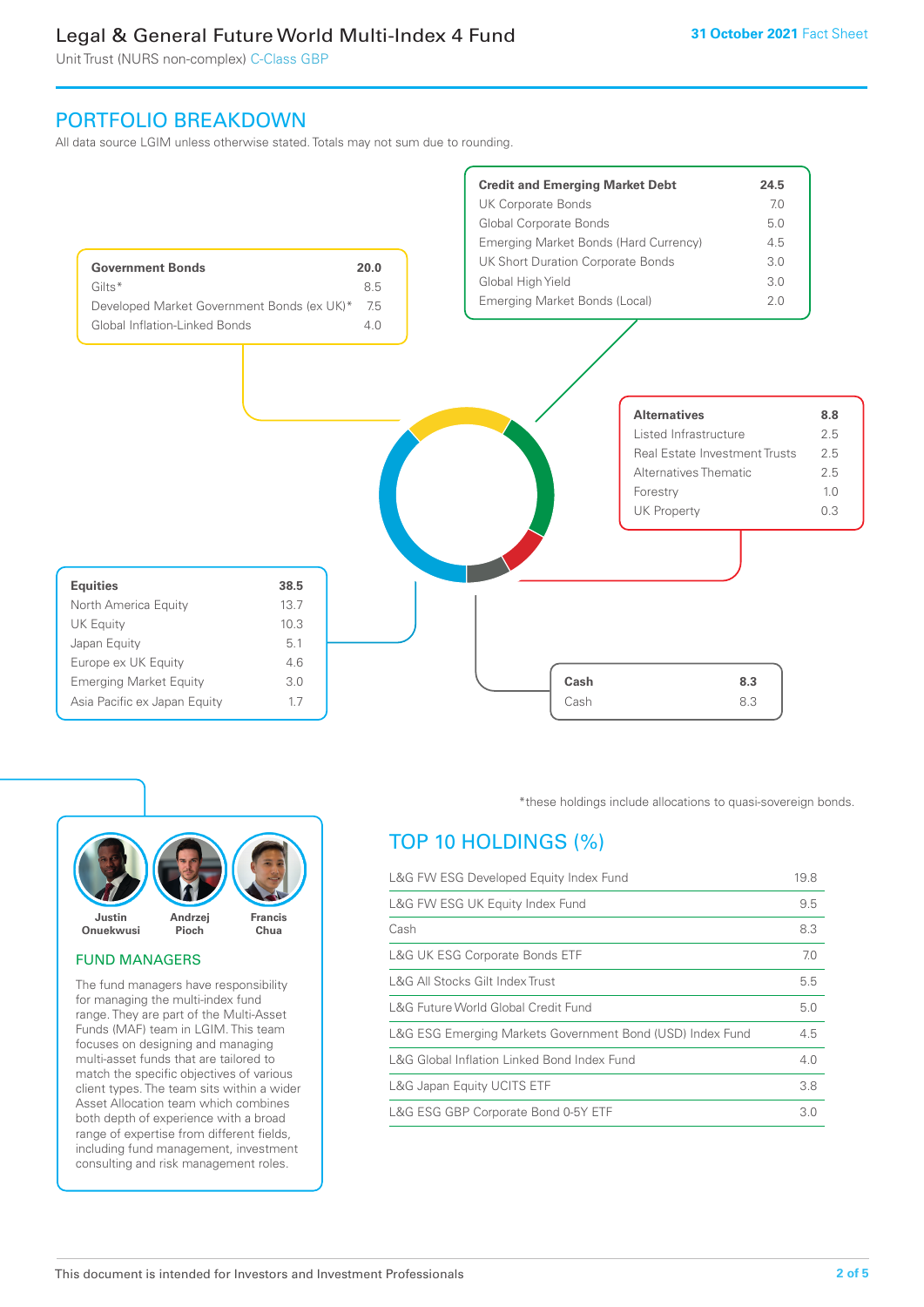Unit Trust (NURS non-complex) C-Class GBP

### PORTFOLIO BREAKDOWN

All data source LGIM unless otherwise stated. Totals may not sum due to rounding.





### FUND MANAGERS

The fund managers have responsibility for managing the multi-index fund range. They are part of the Multi-Asset Funds (MAF) team in LGIM. This team focuses on designing and managing multi-asset funds that are tailored to match the specific objectives of various client types. The team sits within a wider Asset Allocation team which combines both depth of experience with a broad range of expertise from different fields, including fund management, investment consulting and risk management roles.

\*these holdings include allocations to quasi-sovereign bonds.

### TOP 10 HOLDINGS (%)

| L&G FW ESG Developed Equity Index Fund                    | 19.8 |
|-----------------------------------------------------------|------|
| L&G FW ESG UK Equity Index Fund                           | 9.5  |
| Cash                                                      | 8.3  |
| <b>L&amp;G UK ESG Corporate Bonds ETF</b>                 | 7.0  |
| L&G All Stocks Gilt Index Trust                           | 5.5  |
| L&G Future World Global Credit Fund                       | 5.0  |
| L&G ESG Emerging Markets Government Bond (USD) Index Fund | 4.5  |
| L&G Global Inflation Linked Bond Index Fund               | 4.0  |
| L&G Japan Equity UCITS ETF                                | 3.8  |
| L&G ESG GBP Corporate Bond 0-5Y ETF                       | 3.0  |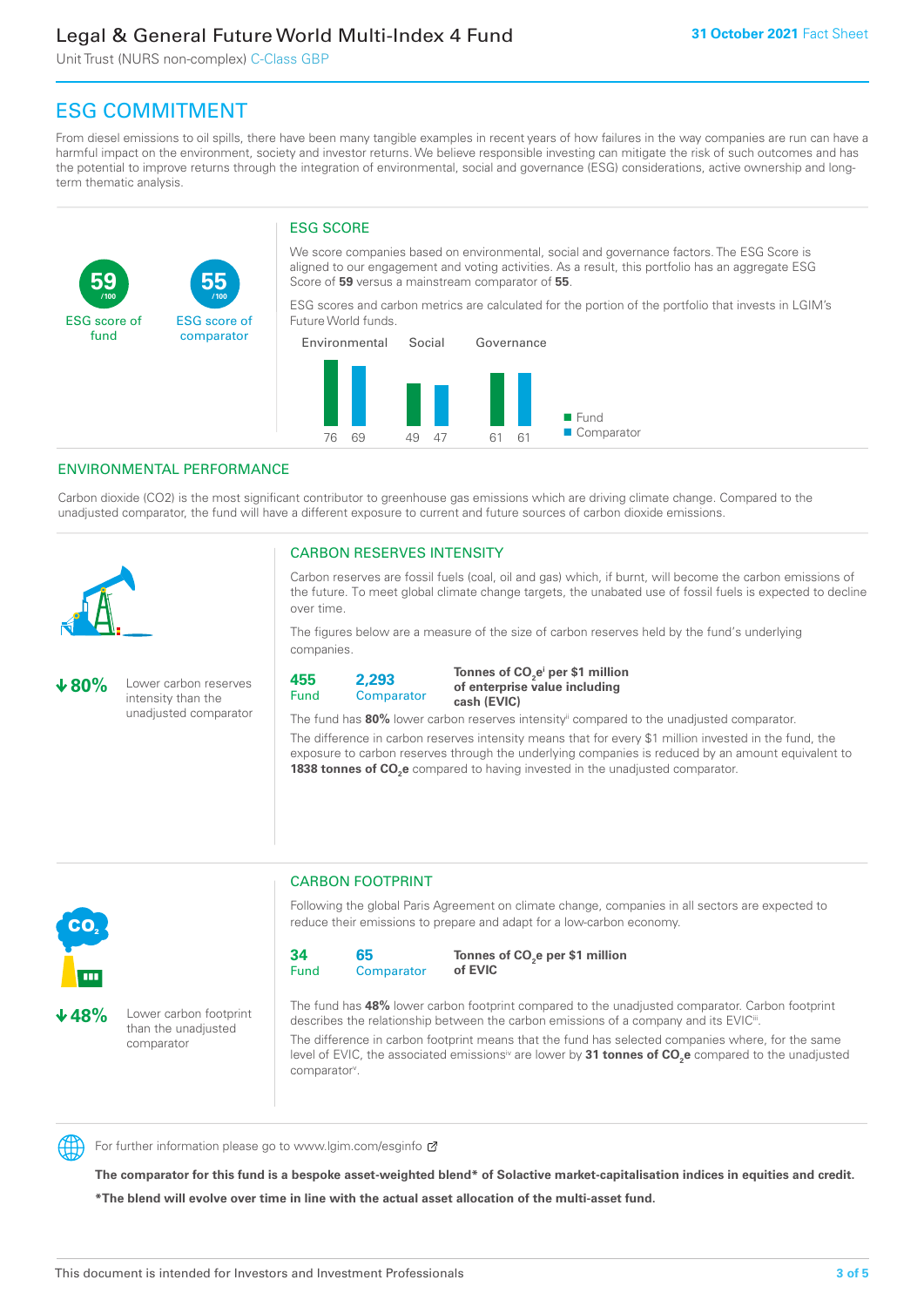Unit Trust (NURS non-complex) C-Class GBP

**55**

ESG score of comparator

## ESG COMMITMENT

From diesel emissions to oil spills, there have been many tangible examples in recent years of how failures in the way companies are run can have a harmful impact on the environment, society and investor returns. We believe responsible investing can mitigate the risk of such outcomes and has the potential to improve returns through the integration of environmental, social and governance (ESG) considerations, active ownership and longterm thematic analysis.

### ESG SCORE

We score companies based on environmental, social and governance factors. The ESG Score is aligned to our engagement and voting activities. As a result, this portfolio has an aggregate ESG Score of **59** versus a mainstream comparator of **55**.

ESG scores and carbon metrics are calculated for the portion of the portfolio that invests in LGIM's Future World funds.



### ENVIRONMENTAL PERFORMANCE

**/100 /100**

Carbon dioxide (CO2) is the most significant contributor to greenhouse gas emissions which are driving climate change. Compared to the unadjusted comparator, the fund will have a different exposure to current and future sources of carbon dioxide emissions.



**59**

ESG score of fund

### CARBON RESERVES INTENSITY

Carbon reserves are fossil fuels (coal, oil and gas) which, if burnt, will become the carbon emissions of the future. To meet global climate change targets, the unabated use of fossil fuels is expected to decline over time.

The figures below are a measure of the size of carbon reserves held by the fund's underlying companies.

**80%** Lower carbon reserves intensity than the unadjusted comparator



Tonnes of CO<sub>2</sub>e<sup>i</sup> per \$1 million **of enterprise value including cash (EVIC)**

The fund has 80% lower carbon reserves intensity<sup>ii</sup> compared to the unadjusted comparator.

The difference in carbon reserves intensity means that for every \$1 million invested in the fund, the exposure to carbon reserves through the underlying companies is reduced by an amount equivalent to **1838 tonnes of CO<sub>2</sub>e** compared to having invested in the unadjusted comparator.



**48%** Lower carbon footprint than the unadjusted comparator

## CARBON FOOTPRINT

Following the global Paris Agreement on climate change, companies in all sectors are expected to reduce their emissions to prepare and adapt for a low-carbon economy.



**Tonnes of CO2 e per \$1 million of EVIC**

The fund has **48%** lower carbon footprint compared to the unadjusted comparator. Carbon footprint describes the relationship between the carbon emissions of a company and its EVIC<sup>ii</sup>.

The difference in carbon footprint means that the fund has selected companies where, for the same level of EVIC, the associated emissions<sup>iv</sup> are lower by **31 tonnes of CO<sub>2</sub>e** compared to the unadjusted comparator<sup>v</sup>.



For further information please go to www.lgim.com/esginfo Ø

**The comparator for this fund is a bespoke asset-weighted blend\* of Solactive market-capitalisation indices in equities and credit. \*The blend will evolve over time in line with the actual asset allocation of the multi-asset fund.**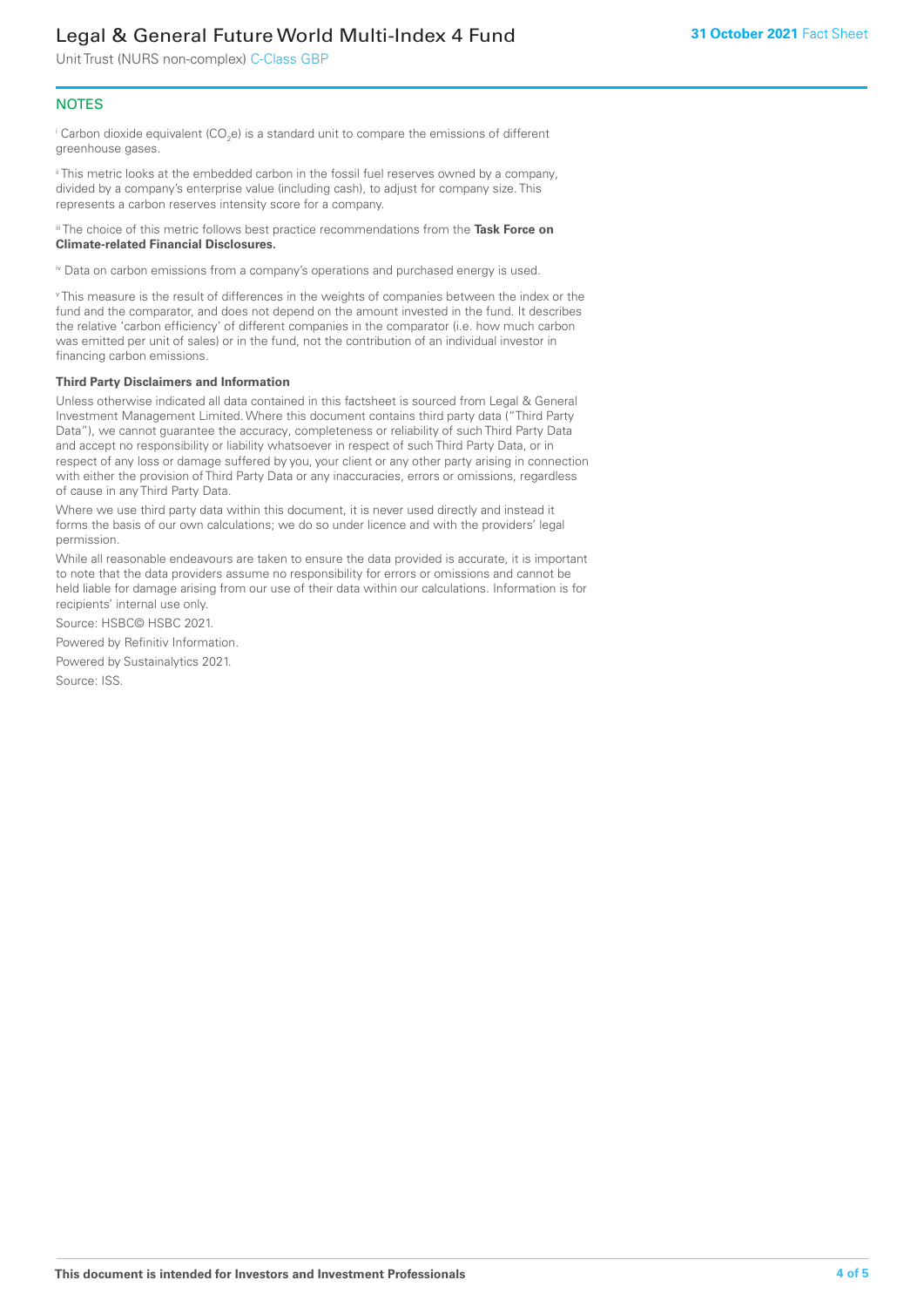Unit Trust (NURS non-complex) C-Class GBP

### **NOTES**

 $^\mathrm{i}$  Carbon dioxide equivalent (CO<sub>2</sub>e) is a standard unit to compare the emissions of different greenhouse gases.

ii This metric looks at the embedded carbon in the fossil fuel reserves owned by a company, divided by a company's enterprise value (including cash), to adjust for company size. This represents a carbon reserves intensity score for a company.

iii The choice of this metric follows best practice recommendations from the **Task Force on Climate-related Financial Disclosures.**

iv Data on carbon emissions from a company's operations and purchased energy is used.

v This measure is the result of differences in the weights of companies between the index or the fund and the comparator, and does not depend on the amount invested in the fund. It describes the relative 'carbon efficiency' of different companies in the comparator (i.e. how much carbon was emitted per unit of sales) or in the fund, not the contribution of an individual investor in financing carbon emissions.

#### **Third Party Disclaimers and Information**

Unless otherwise indicated all data contained in this factsheet is sourced from Legal & General Investment Management Limited. Where this document contains third party data ("Third Party Data"), we cannot guarantee the accuracy, completeness or reliability of such Third Party Data and accept no responsibility or liability whatsoever in respect of such Third Party Data, or in respect of any loss or damage suffered by you, your client or any other party arising in connection with either the provision of Third Party Data or any inaccuracies, errors or omissions, regardless of cause in any Third Party Data.

Where we use third party data within this document, it is never used directly and instead it forms the basis of our own calculations; we do so under licence and with the providers' legal permission.

While all reasonable endeavours are taken to ensure the data provided is accurate, it is important to note that the data providers assume no responsibility for errors or omissions and cannot be held liable for damage arising from our use of their data within our calculations. Information is for recipients' internal use only.

Source: HSBC© HSBC 2021.

Powered by Refinitiv Information.

Powered by Sustainalytics 2021.

Source: ISS.